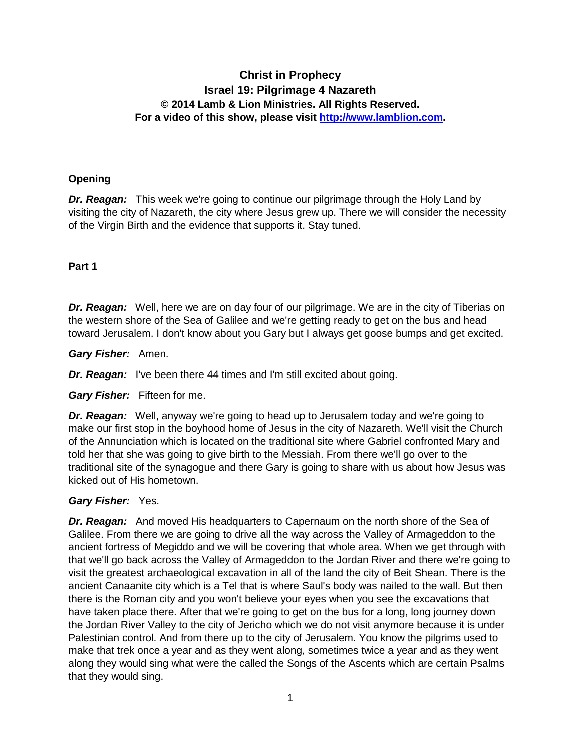# **Christ in Prophecy Israel 19: Pilgrimage 4 Nazareth © 2014 Lamb & Lion Ministries. All Rights Reserved. For a video of this show, please visit [http://www.lamblion.com.](http://www.lamblion.com/)**

### **Opening**

*Dr. Reagan:* This week we're going to continue our pilgrimage through the Holy Land by visiting the city of Nazareth, the city where Jesus grew up. There we will consider the necessity of the Virgin Birth and the evidence that supports it. Stay tuned.

#### **Part 1**

**Dr. Reagan:** Well, here we are on day four of our pilgrimage. We are in the city of Tiberias on the western shore of the Sea of Galilee and we're getting ready to get on the bus and head toward Jerusalem. I don't know about you Gary but I always get goose bumps and get excited.

*Gary Fisher:* Amen.

**Dr. Reagan:** I've been there 44 times and I'm still excited about going.

*Gary Fisher:* Fifteen for me.

*Dr. Reagan:* Well, anyway we're going to head up to Jerusalem today and we're going to make our first stop in the boyhood home of Jesus in the city of Nazareth. We'll visit the Church of the Annunciation which is located on the traditional site where Gabriel confronted Mary and told her that she was going to give birth to the Messiah. From there we'll go over to the traditional site of the synagogue and there Gary is going to share with us about how Jesus was kicked out of His hometown.

### *Gary Fisher:* Yes.

*Dr. Reagan:* And moved His headquarters to Capernaum on the north shore of the Sea of Galilee. From there we are going to drive all the way across the Valley of Armageddon to the ancient fortress of Megiddo and we will be covering that whole area. When we get through with that we'll go back across the Valley of Armageddon to the Jordan River and there we're going to visit the greatest archaeological excavation in all of the land the city of Beit Shean. There is the ancient Canaanite city which is a Tel that is where Saul's body was nailed to the wall. But then there is the Roman city and you won't believe your eyes when you see the excavations that have taken place there. After that we're going to get on the bus for a long, long journey down the Jordan River Valley to the city of Jericho which we do not visit anymore because it is under Palestinian control. And from there up to the city of Jerusalem. You know the pilgrims used to make that trek once a year and as they went along, sometimes twice a year and as they went along they would sing what were the called the Songs of the Ascents which are certain Psalms that they would sing.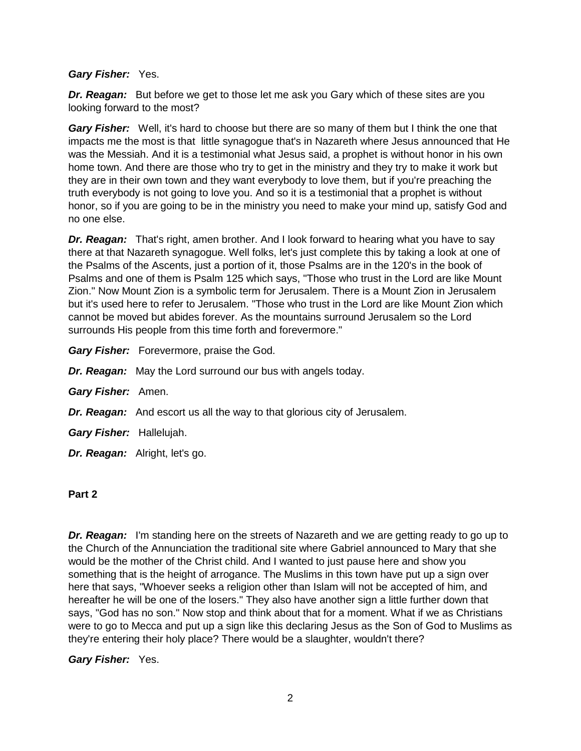#### *Gary Fisher:* Yes.

*Dr. Reagan:* But before we get to those let me ask you Gary which of these sites are you looking forward to the most?

*Gary Fisher:* Well, it's hard to choose but there are so many of them but I think the one that impacts me the most is that little synagogue that's in Nazareth where Jesus announced that He was the Messiah. And it is a testimonial what Jesus said, a prophet is without honor in his own home town. And there are those who try to get in the ministry and they try to make it work but they are in their own town and they want everybody to love them, but if you're preaching the truth everybody is not going to love you. And so it is a testimonial that a prophet is without honor, so if you are going to be in the ministry you need to make your mind up, satisfy God and no one else.

*Dr. Reagan:* That's right, amen brother. And I look forward to hearing what you have to say there at that Nazareth synagogue. Well folks, let's just complete this by taking a look at one of the Psalms of the Ascents, just a portion of it, those Psalms are in the 120's in the book of Psalms and one of them is Psalm 125 which says, "Those who trust in the Lord are like Mount Zion." Now Mount Zion is a symbolic term for Jerusalem. There is a Mount Zion in Jerusalem but it's used here to refer to Jerusalem. "Those who trust in the Lord are like Mount Zion which cannot be moved but abides forever. As the mountains surround Jerusalem so the Lord surrounds His people from this time forth and forevermore."

*Gary Fisher:* Forevermore, praise the God.

*Dr. Reagan:* May the Lord surround our bus with angels today.

- *Gary Fisher:* Amen.
- *Dr. Reagan:* And escort us all the way to that glorious city of Jerusalem.
- *Gary Fisher:* Hallelujah.
- *Dr. Reagan:* Alright, let's go.

#### **Part 2**

*Dr. Reagan:* I'm standing here on the streets of Nazareth and we are getting ready to go up to the Church of the Annunciation the traditional site where Gabriel announced to Mary that she would be the mother of the Christ child. And I wanted to just pause here and show you something that is the height of arrogance. The Muslims in this town have put up a sign over here that says, "Whoever seeks a religion other than Islam will not be accepted of him, and hereafter he will be one of the losers." They also have another sign a little further down that says, "God has no son." Now stop and think about that for a moment. What if we as Christians were to go to Mecca and put up a sign like this declaring Jesus as the Son of God to Muslims as they're entering their holy place? There would be a slaughter, wouldn't there?

*Gary Fisher:* Yes.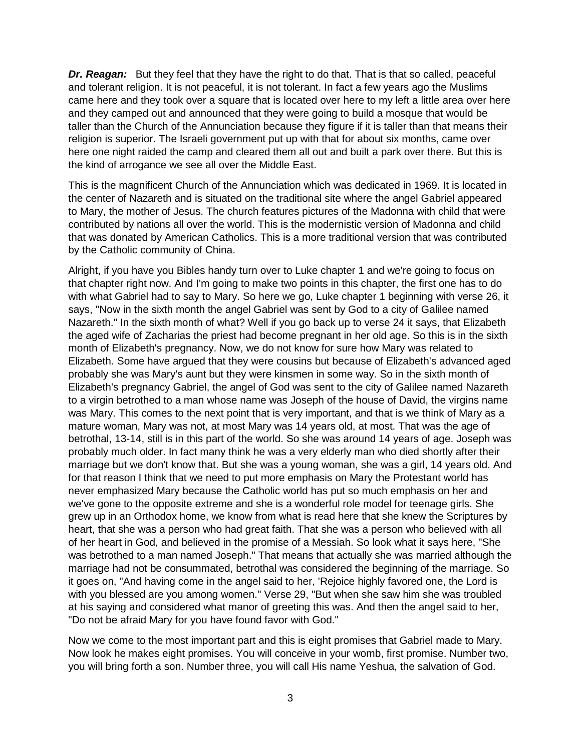*Dr. Reagan:* But they feel that they have the right to do that. That is that so called, peaceful and tolerant religion. It is not peaceful, it is not tolerant. In fact a few years ago the Muslims came here and they took over a square that is located over here to my left a little area over here and they camped out and announced that they were going to build a mosque that would be taller than the Church of the Annunciation because they figure if it is taller than that means their religion is superior. The Israeli government put up with that for about six months, came over here one night raided the camp and cleared them all out and built a park over there. But this is the kind of arrogance we see all over the Middle East.

This is the magnificent Church of the Annunciation which was dedicated in 1969. It is located in the center of Nazareth and is situated on the traditional site where the angel Gabriel appeared to Mary, the mother of Jesus. The church features pictures of the Madonna with child that were contributed by nations all over the world. This is the modernistic version of Madonna and child that was donated by American Catholics. This is a more traditional version that was contributed by the Catholic community of China.

Alright, if you have you Bibles handy turn over to Luke chapter 1 and we're going to focus on that chapter right now. And I'm going to make two points in this chapter, the first one has to do with what Gabriel had to say to Mary. So here we go, Luke chapter 1 beginning with verse 26, it says, "Now in the sixth month the angel Gabriel was sent by God to a city of Galilee named Nazareth." In the sixth month of what? Well if you go back up to verse 24 it says, that Elizabeth the aged wife of Zacharias the priest had become pregnant in her old age. So this is in the sixth month of Elizabeth's pregnancy. Now, we do not know for sure how Mary was related to Elizabeth. Some have argued that they were cousins but because of Elizabeth's advanced aged probably she was Mary's aunt but they were kinsmen in some way. So in the sixth month of Elizabeth's pregnancy Gabriel, the angel of God was sent to the city of Galilee named Nazareth to a virgin betrothed to a man whose name was Joseph of the house of David, the virgins name was Mary. This comes to the next point that is very important, and that is we think of Mary as a mature woman, Mary was not, at most Mary was 14 years old, at most. That was the age of betrothal, 13-14, still is in this part of the world. So she was around 14 years of age. Joseph was probably much older. In fact many think he was a very elderly man who died shortly after their marriage but we don't know that. But she was a young woman, she was a girl, 14 years old. And for that reason I think that we need to put more emphasis on Mary the Protestant world has never emphasized Mary because the Catholic world has put so much emphasis on her and we've gone to the opposite extreme and she is a wonderful role model for teenage girls. She grew up in an Orthodox home, we know from what is read here that she knew the Scriptures by heart, that she was a person who had great faith. That she was a person who believed with all of her heart in God, and believed in the promise of a Messiah. So look what it says here, "She was betrothed to a man named Joseph." That means that actually she was married although the marriage had not be consummated, betrothal was considered the beginning of the marriage. So it goes on, "And having come in the angel said to her, 'Rejoice highly favored one, the Lord is with you blessed are you among women." Verse 29, "But when she saw him she was troubled at his saying and considered what manor of greeting this was. And then the angel said to her, "Do not be afraid Mary for you have found favor with God."

Now we come to the most important part and this is eight promises that Gabriel made to Mary. Now look he makes eight promises. You will conceive in your womb, first promise. Number two, you will bring forth a son. Number three, you will call His name Yeshua, the salvation of God.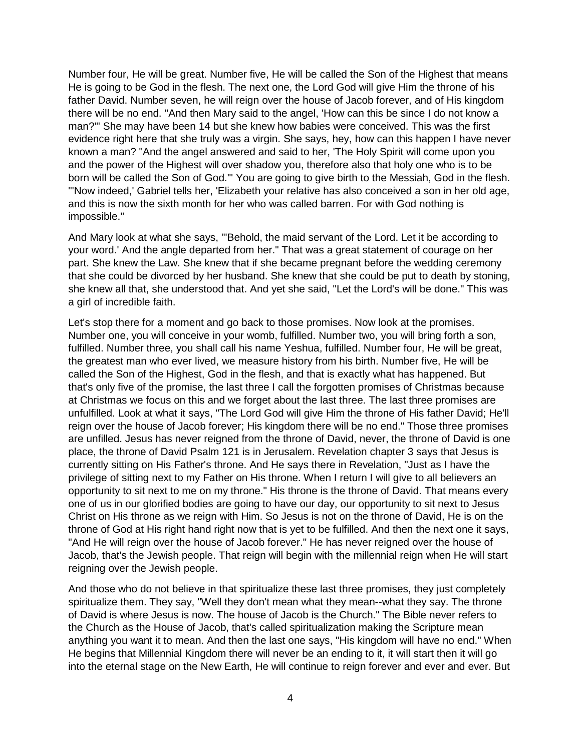Number four, He will be great. Number five, He will be called the Son of the Highest that means He is going to be God in the flesh. The next one, the Lord God will give Him the throne of his father David. Number seven, he will reign over the house of Jacob forever, and of His kingdom there will be no end. "And then Mary said to the angel, 'How can this be since I do not know a man?'" She may have been 14 but she knew how babies were conceived. This was the first evidence right here that she truly was a virgin. She says, hey, how can this happen I have never known a man? "And the angel answered and said to her, 'The Holy Spirit will come upon you and the power of the Highest will over shadow you, therefore also that holy one who is to be born will be called the Son of God.'" You are going to give birth to the Messiah, God in the flesh. "'Now indeed,' Gabriel tells her, 'Elizabeth your relative has also conceived a son in her old age, and this is now the sixth month for her who was called barren. For with God nothing is impossible."

And Mary look at what she says, "'Behold, the maid servant of the Lord. Let it be according to your word.' And the angle departed from her." That was a great statement of courage on her part. She knew the Law. She knew that if she became pregnant before the wedding ceremony that she could be divorced by her husband. She knew that she could be put to death by stoning, she knew all that, she understood that. And yet she said, "Let the Lord's will be done." This was a girl of incredible faith.

Let's stop there for a moment and go back to those promises. Now look at the promises. Number one, you will conceive in your womb, fulfilled. Number two, you will bring forth a son, fulfilled. Number three, you shall call his name Yeshua, fulfilled. Number four, He will be great, the greatest man who ever lived, we measure history from his birth. Number five, He will be called the Son of the Highest, God in the flesh, and that is exactly what has happened. But that's only five of the promise, the last three I call the forgotten promises of Christmas because at Christmas we focus on this and we forget about the last three. The last three promises are unfulfilled. Look at what it says, "The Lord God will give Him the throne of His father David; He'll reign over the house of Jacob forever; His kingdom there will be no end." Those three promises are unfilled. Jesus has never reigned from the throne of David, never, the throne of David is one place, the throne of David Psalm 121 is in Jerusalem. Revelation chapter 3 says that Jesus is currently sitting on His Father's throne. And He says there in Revelation, "Just as I have the privilege of sitting next to my Father on His throne. When I return I will give to all believers an opportunity to sit next to me on my throne." His throne is the throne of David. That means every one of us in our glorified bodies are going to have our day, our opportunity to sit next to Jesus Christ on His throne as we reign with Him. So Jesus is not on the throne of David, He is on the throne of God at His right hand right now that is yet to be fulfilled. And then the next one it says, "And He will reign over the house of Jacob forever." He has never reigned over the house of Jacob, that's the Jewish people. That reign will begin with the millennial reign when He will start reigning over the Jewish people.

And those who do not believe in that spiritualize these last three promises, they just completely spiritualize them. They say, "Well they don't mean what they mean--what they say. The throne of David is where Jesus is now. The house of Jacob is the Church." The Bible never refers to the Church as the House of Jacob, that's called spiritualization making the Scripture mean anything you want it to mean. And then the last one says, "His kingdom will have no end." When He begins that Millennial Kingdom there will never be an ending to it, it will start then it will go into the eternal stage on the New Earth, He will continue to reign forever and ever and ever. But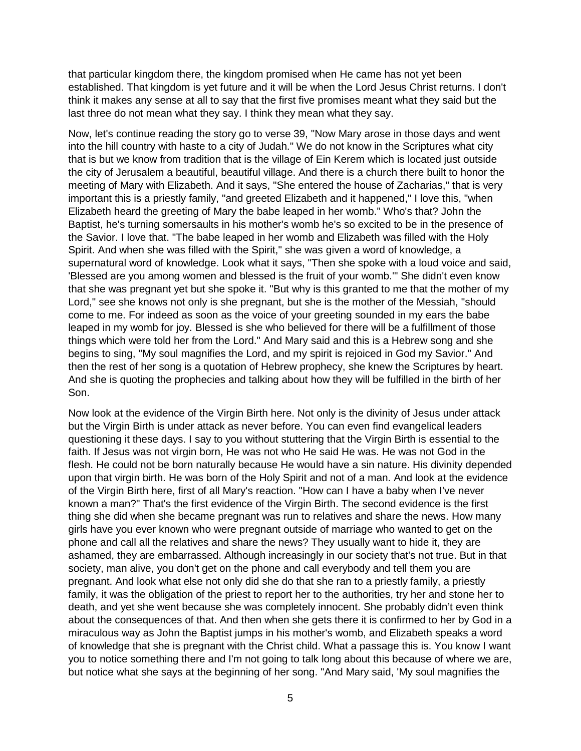that particular kingdom there, the kingdom promised when He came has not yet been established. That kingdom is yet future and it will be when the Lord Jesus Christ returns. I don't think it makes any sense at all to say that the first five promises meant what they said but the last three do not mean what they say. I think they mean what they say.

Now, let's continue reading the story go to verse 39, "Now Mary arose in those days and went into the hill country with haste to a city of Judah." We do not know in the Scriptures what city that is but we know from tradition that is the village of Ein Kerem which is located just outside the city of Jerusalem a beautiful, beautiful village. And there is a church there built to honor the meeting of Mary with Elizabeth. And it says, "She entered the house of Zacharias," that is very important this is a priestly family, "and greeted Elizabeth and it happened," I love this, "when Elizabeth heard the greeting of Mary the babe leaped in her womb." Who's that? John the Baptist, he's turning somersaults in his mother's womb he's so excited to be in the presence of the Savior. I love that. "The babe leaped in her womb and Elizabeth was filled with the Holy Spirit. And when she was filled with the Spirit," she was given a word of knowledge, a supernatural word of knowledge. Look what it says, "Then she spoke with a loud voice and said, 'Blessed are you among women and blessed is the fruit of your womb.'" She didn't even know that she was pregnant yet but she spoke it. "But why is this granted to me that the mother of my Lord," see she knows not only is she pregnant, but she is the mother of the Messiah, "should come to me. For indeed as soon as the voice of your greeting sounded in my ears the babe leaped in my womb for joy. Blessed is she who believed for there will be a fulfillment of those things which were told her from the Lord." And Mary said and this is a Hebrew song and she begins to sing, "My soul magnifies the Lord, and my spirit is rejoiced in God my Savior." And then the rest of her song is a quotation of Hebrew prophecy, she knew the Scriptures by heart. And she is quoting the prophecies and talking about how they will be fulfilled in the birth of her Son.

Now look at the evidence of the Virgin Birth here. Not only is the divinity of Jesus under attack but the Virgin Birth is under attack as never before. You can even find evangelical leaders questioning it these days. I say to you without stuttering that the Virgin Birth is essential to the faith. If Jesus was not virgin born, He was not who He said He was. He was not God in the flesh. He could not be born naturally because He would have a sin nature. His divinity depended upon that virgin birth. He was born of the Holy Spirit and not of a man. And look at the evidence of the Virgin Birth here, first of all Mary's reaction. "How can I have a baby when I've never known a man?" That's the first evidence of the Virgin Birth. The second evidence is the first thing she did when she became pregnant was run to relatives and share the news. How many girls have you ever known who were pregnant outside of marriage who wanted to get on the phone and call all the relatives and share the news? They usually want to hide it, they are ashamed, they are embarrassed. Although increasingly in our society that's not true. But in that society, man alive, you don't get on the phone and call everybody and tell them you are pregnant. And look what else not only did she do that she ran to a priestly family, a priestly family, it was the obligation of the priest to report her to the authorities, try her and stone her to death, and yet she went because she was completely innocent. She probably didn't even think about the consequences of that. And then when she gets there it is confirmed to her by God in a miraculous way as John the Baptist jumps in his mother's womb, and Elizabeth speaks a word of knowledge that she is pregnant with the Christ child. What a passage this is. You know I want you to notice something there and I'm not going to talk long about this because of where we are, but notice what she says at the beginning of her song. "And Mary said, 'My soul magnifies the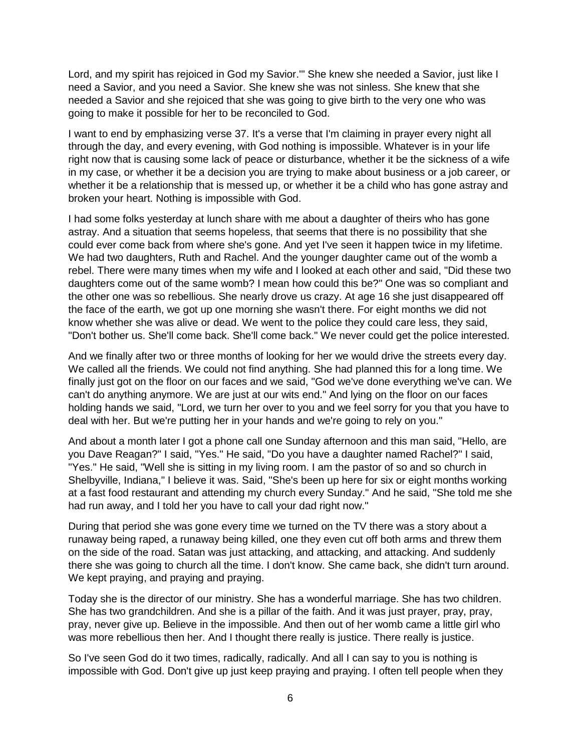Lord, and my spirit has rejoiced in God my Savior.'" She knew she needed a Savior, just like I need a Savior, and you need a Savior. She knew she was not sinless. She knew that she needed a Savior and she rejoiced that she was going to give birth to the very one who was going to make it possible for her to be reconciled to God.

I want to end by emphasizing verse 37. It's a verse that I'm claiming in prayer every night all through the day, and every evening, with God nothing is impossible. Whatever is in your life right now that is causing some lack of peace or disturbance, whether it be the sickness of a wife in my case, or whether it be a decision you are trying to make about business or a job career, or whether it be a relationship that is messed up, or whether it be a child who has gone astray and broken your heart. Nothing is impossible with God.

I had some folks yesterday at lunch share with me about a daughter of theirs who has gone astray. And a situation that seems hopeless, that seems that there is no possibility that she could ever come back from where she's gone. And yet I've seen it happen twice in my lifetime. We had two daughters, Ruth and Rachel. And the younger daughter came out of the womb a rebel. There were many times when my wife and I looked at each other and said, "Did these two daughters come out of the same womb? I mean how could this be?" One was so compliant and the other one was so rebellious. She nearly drove us crazy. At age 16 she just disappeared off the face of the earth, we got up one morning she wasn't there. For eight months we did not know whether she was alive or dead. We went to the police they could care less, they said, "Don't bother us. She'll come back. She'll come back." We never could get the police interested.

And we finally after two or three months of looking for her we would drive the streets every day. We called all the friends. We could not find anything. She had planned this for a long time. We finally just got on the floor on our faces and we said, "God we've done everything we've can. We can't do anything anymore. We are just at our wits end." And lying on the floor on our faces holding hands we said, "Lord, we turn her over to you and we feel sorry for you that you have to deal with her. But we're putting her in your hands and we're going to rely on you."

And about a month later I got a phone call one Sunday afternoon and this man said, "Hello, are you Dave Reagan?" I said, "Yes." He said, "Do you have a daughter named Rachel?" I said, "Yes." He said, "Well she is sitting in my living room. I am the pastor of so and so church in Shelbyville, Indiana," I believe it was. Said, "She's been up here for six or eight months working at a fast food restaurant and attending my church every Sunday." And he said, "She told me she had run away, and I told her you have to call your dad right now."

During that period she was gone every time we turned on the TV there was a story about a runaway being raped, a runaway being killed, one they even cut off both arms and threw them on the side of the road. Satan was just attacking, and attacking, and attacking. And suddenly there she was going to church all the time. I don't know. She came back, she didn't turn around. We kept praying, and praying and praying.

Today she is the director of our ministry. She has a wonderful marriage. She has two children. She has two grandchildren. And she is a pillar of the faith. And it was just prayer, pray, pray, pray, never give up. Believe in the impossible. And then out of her womb came a little girl who was more rebellious then her. And I thought there really is justice. There really is justice.

So I've seen God do it two times, radically, radically. And all I can say to you is nothing is impossible with God. Don't give up just keep praying and praying. I often tell people when they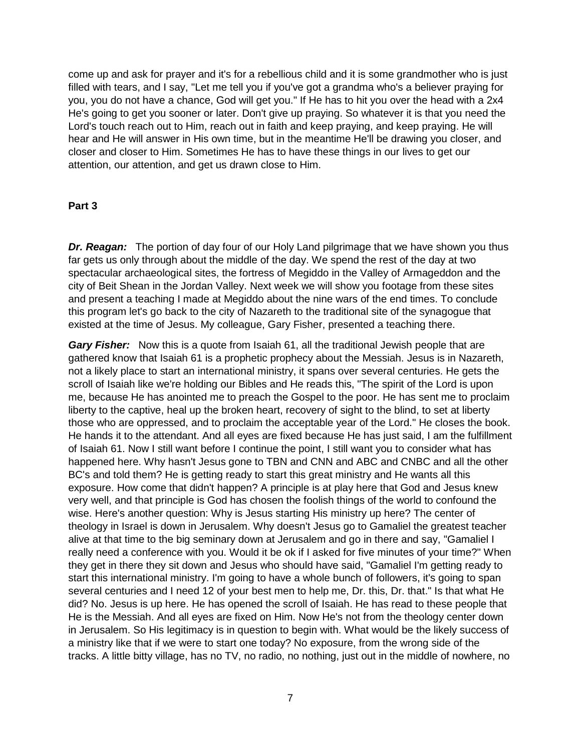come up and ask for prayer and it's for a rebellious child and it is some grandmother who is just filled with tears, and I say, "Let me tell you if you've got a grandma who's a believer praying for you, you do not have a chance, God will get you." If He has to hit you over the head with a 2x4 He's going to get you sooner or later. Don't give up praying. So whatever it is that you need the Lord's touch reach out to Him, reach out in faith and keep praying, and keep praying. He will hear and He will answer in His own time, but in the meantime He'll be drawing you closer, and closer and closer to Him. Sometimes He has to have these things in our lives to get our attention, our attention, and get us drawn close to Him.

#### **Part 3**

**Dr. Reagan:** The portion of day four of our Holy Land pilgrimage that we have shown you thus far gets us only through about the middle of the day. We spend the rest of the day at two spectacular archaeological sites, the fortress of Megiddo in the Valley of Armageddon and the city of Beit Shean in the Jordan Valley. Next week we will show you footage from these sites and present a teaching I made at Megiddo about the nine wars of the end times. To conclude this program let's go back to the city of Nazareth to the traditional site of the synagogue that existed at the time of Jesus. My colleague, Gary Fisher, presented a teaching there.

*Gary Fisher:* Now this is a quote from Isaiah 61, all the traditional Jewish people that are gathered know that Isaiah 61 is a prophetic prophecy about the Messiah. Jesus is in Nazareth, not a likely place to start an international ministry, it spans over several centuries. He gets the scroll of Isaiah like we're holding our Bibles and He reads this, "The spirit of the Lord is upon me, because He has anointed me to preach the Gospel to the poor. He has sent me to proclaim liberty to the captive, heal up the broken heart, recovery of sight to the blind, to set at liberty those who are oppressed, and to proclaim the acceptable year of the Lord." He closes the book. He hands it to the attendant. And all eyes are fixed because He has just said, I am the fulfillment of Isaiah 61. Now I still want before I continue the point, I still want you to consider what has happened here. Why hasn't Jesus gone to TBN and CNN and ABC and CNBC and all the other BC's and told them? He is getting ready to start this great ministry and He wants all this exposure. How come that didn't happen? A principle is at play here that God and Jesus knew very well, and that principle is God has chosen the foolish things of the world to confound the wise. Here's another question: Why is Jesus starting His ministry up here? The center of theology in Israel is down in Jerusalem. Why doesn't Jesus go to Gamaliel the greatest teacher alive at that time to the big seminary down at Jerusalem and go in there and say, "Gamaliel I really need a conference with you. Would it be ok if I asked for five minutes of your time?" When they get in there they sit down and Jesus who should have said, "Gamaliel I'm getting ready to start this international ministry. I'm going to have a whole bunch of followers, it's going to span several centuries and I need 12 of your best men to help me, Dr. this, Dr. that." Is that what He did? No. Jesus is up here. He has opened the scroll of Isaiah. He has read to these people that He is the Messiah. And all eyes are fixed on Him. Now He's not from the theology center down in Jerusalem. So His legitimacy is in question to begin with. What would be the likely success of a ministry like that if we were to start one today? No exposure, from the wrong side of the tracks. A little bitty village, has no TV, no radio, no nothing, just out in the middle of nowhere, no